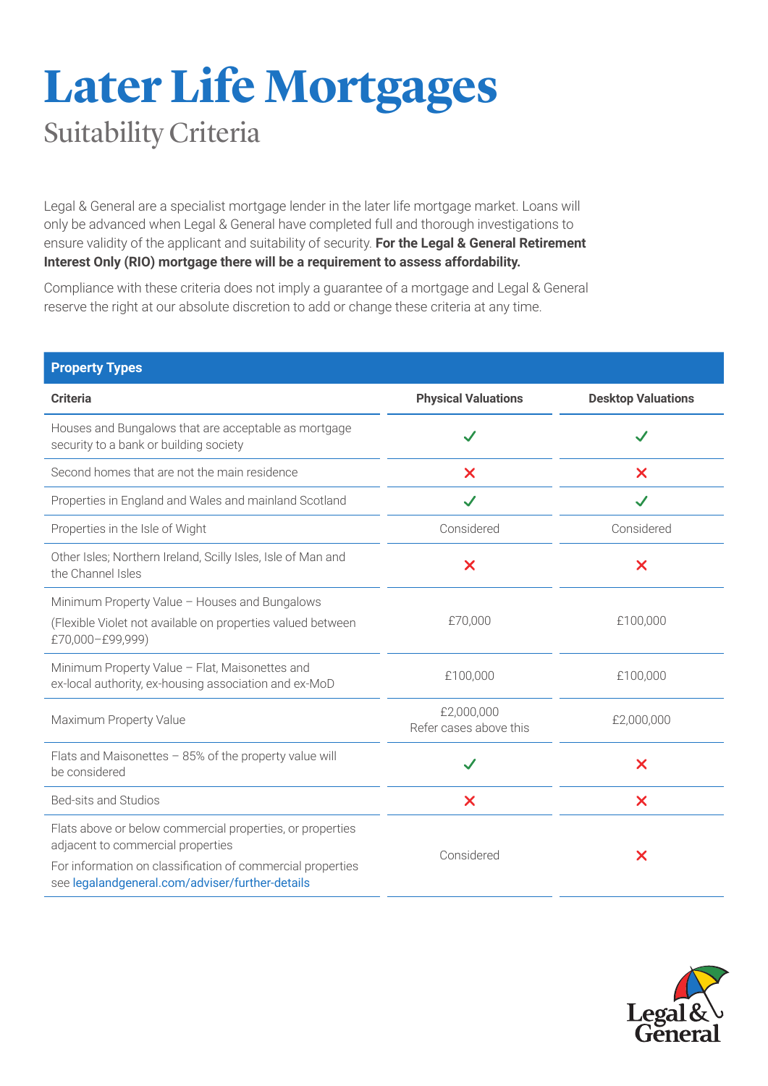## **Later Life Mortgages** Suitability Criteria

Legal & General are a specialist mortgage lender in the later life mortgage market. Loans will only be advanced when Legal & General have completed full and thorough investigations to ensure validity of the applicant and suitability of security. **For the Legal & General Retirement Interest Only (RIO) mortgage there will be a requirement to assess affordability.**

Compliance with these criteria does not imply a guarantee of a mortgage and Legal & General reserve the right at our absolute discretion to add or change these criteria at any time.

| <b>Property Types</b>                                                                                                            |                                      |                           |
|----------------------------------------------------------------------------------------------------------------------------------|--------------------------------------|---------------------------|
| <b>Criteria</b>                                                                                                                  | <b>Physical Valuations</b>           | <b>Desktop Valuations</b> |
| Houses and Bungalows that are acceptable as mortgage<br>security to a bank or building society                                   | $\checkmark$                         |                           |
| Second homes that are not the main residence                                                                                     | X                                    | $\boldsymbol{\mathsf{x}}$ |
| Properties in England and Wales and mainland Scotland                                                                            | $\checkmark$                         | $\checkmark$              |
| Properties in the Isle of Wight                                                                                                  | Considered                           | Considered                |
| Other Isles; Northern Ireland, Scilly Isles, Isle of Man and<br>the Channel Isles                                                | $\overline{\mathsf{x}}$              | $\boldsymbol{\mathsf{x}}$ |
| Minimum Property Value - Houses and Bungalows<br>(Flexible Violet not available on properties valued between<br>£70,000-£99,999) | £70,000                              | £100,000                  |
| Minimum Property Value - Flat, Maisonettes and<br>ex-local authority, ex-housing association and ex-MoD                          | £100,000                             | £100,000                  |
| Maximum Property Value                                                                                                           | £2,000,000<br>Refer cases above this | £2,000,000                |
| Flats and Maisonettes - 85% of the property value will<br>be considered                                                          | $\checkmark$                         | $\boldsymbol{\mathsf{x}}$ |
| Bed-sits and Studios                                                                                                             | $\boldsymbol{\mathsf{X}}$            | $\boldsymbol{\mathsf{x}}$ |
| Flats above or below commercial properties, or properties<br>adjacent to commercial properties                                   | Considered                           | $\bm{\times}$             |
| For information on classification of commercial properties<br>see legalandgeneral.com/adviser/further-details                    |                                      |                           |

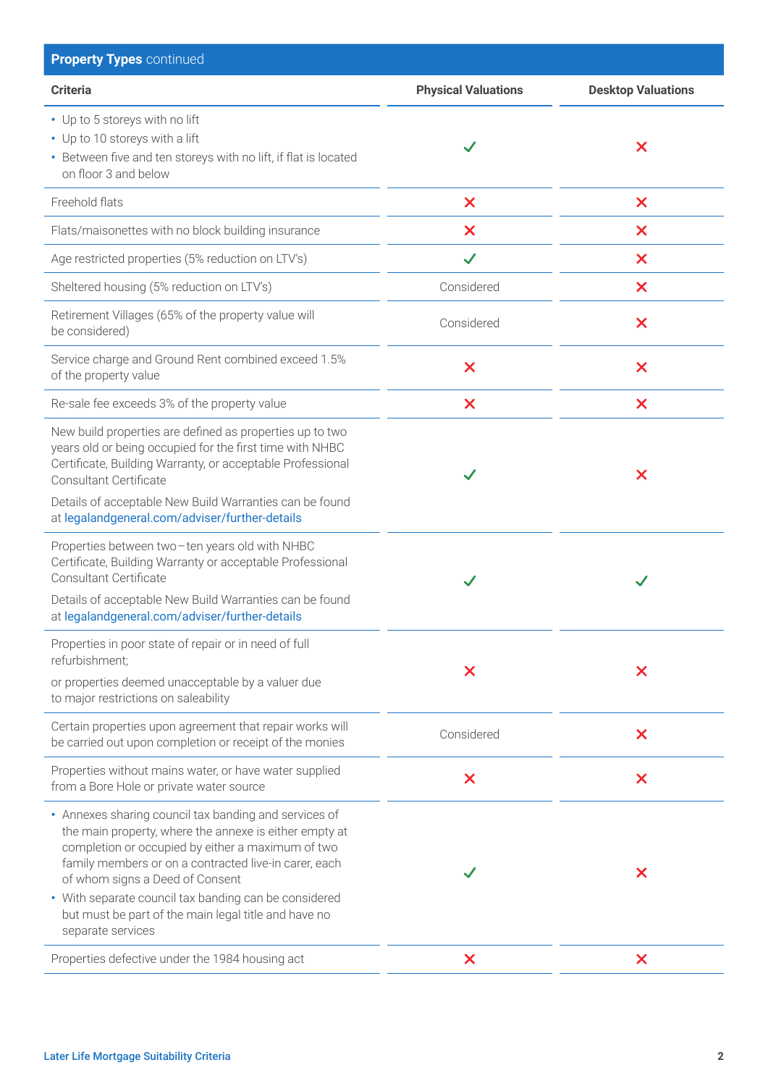| <b>Property Types continued</b>                                                                                                                                                                                                                                                                                                                                                                        |                            |                           |
|--------------------------------------------------------------------------------------------------------------------------------------------------------------------------------------------------------------------------------------------------------------------------------------------------------------------------------------------------------------------------------------------------------|----------------------------|---------------------------|
| <b>Criteria</b>                                                                                                                                                                                                                                                                                                                                                                                        | <b>Physical Valuations</b> | <b>Desktop Valuations</b> |
| • Up to 5 storeys with no lift<br>• Up to 10 storeys with a lift<br>• Between five and ten storeys with no lift, if flat is located<br>on floor 3 and below                                                                                                                                                                                                                                            | $\checkmark$               | X                         |
| Freehold flats                                                                                                                                                                                                                                                                                                                                                                                         | $\boldsymbol{\mathsf{x}}$  | $\boldsymbol{\mathsf{x}}$ |
| Flats/maisonettes with no block building insurance                                                                                                                                                                                                                                                                                                                                                     | X                          | $\boldsymbol{\mathsf{x}}$ |
| Age restricted properties (5% reduction on LTV's)                                                                                                                                                                                                                                                                                                                                                      | $\checkmark$               | $\boldsymbol{\mathsf{x}}$ |
| Sheltered housing (5% reduction on LTV's)                                                                                                                                                                                                                                                                                                                                                              | Considered                 | $\boldsymbol{\mathsf{x}}$ |
| Retirement Villages (65% of the property value will<br>be considered)                                                                                                                                                                                                                                                                                                                                  | Considered                 | $\boldsymbol{\mathsf{x}}$ |
| Service charge and Ground Rent combined exceed 1.5%<br>of the property value                                                                                                                                                                                                                                                                                                                           | $\boldsymbol{\mathsf{x}}$  | $\boldsymbol{\mathsf{x}}$ |
| Re-sale fee exceeds 3% of the property value                                                                                                                                                                                                                                                                                                                                                           | X                          | $\boldsymbol{\mathsf{x}}$ |
| New build properties are defined as properties up to two<br>years old or being occupied for the first time with NHBC<br>Certificate, Building Warranty, or acceptable Professional<br><b>Consultant Certificate</b><br>Details of acceptable New Build Warranties can be found<br>at legalandgeneral.com/adviser/further-details                                                                       | $\checkmark$               | $\boldsymbol{\mathsf{x}}$ |
| Properties between two-ten years old with NHBC<br>Certificate, Building Warranty or acceptable Professional<br>Consultant Certificate<br>Details of acceptable New Build Warranties can be found<br>at legalandgeneral.com/adviser/further-details                                                                                                                                                     | $\checkmark$               |                           |
| Properties in poor state of repair or in need of full<br>refurbishment;<br>or properties deemed unacceptable by a valuer due<br>to major restrictions on saleability                                                                                                                                                                                                                                   | X                          | X                         |
| Certain properties upon agreement that repair works will<br>be carried out upon completion or receipt of the monies                                                                                                                                                                                                                                                                                    | Considered                 | $\boldsymbol{\mathsf{x}}$ |
| Properties without mains water, or have water supplied<br>from a Bore Hole or private water source                                                                                                                                                                                                                                                                                                     | $\boldsymbol{\mathsf{x}}$  | $\boldsymbol{\mathsf{x}}$ |
| • Annexes sharing council tax banding and services of<br>the main property, where the annexe is either empty at<br>completion or occupied by either a maximum of two<br>family members or on a contracted live-in carer, each<br>of whom signs a Deed of Consent<br>• With separate council tax banding can be considered<br>but must be part of the main legal title and have no<br>separate services |                            | X                         |
| Properties defective under the 1984 housing act                                                                                                                                                                                                                                                                                                                                                        | $\boldsymbol{\mathsf{x}}$  | $\boldsymbol{\mathsf{x}}$ |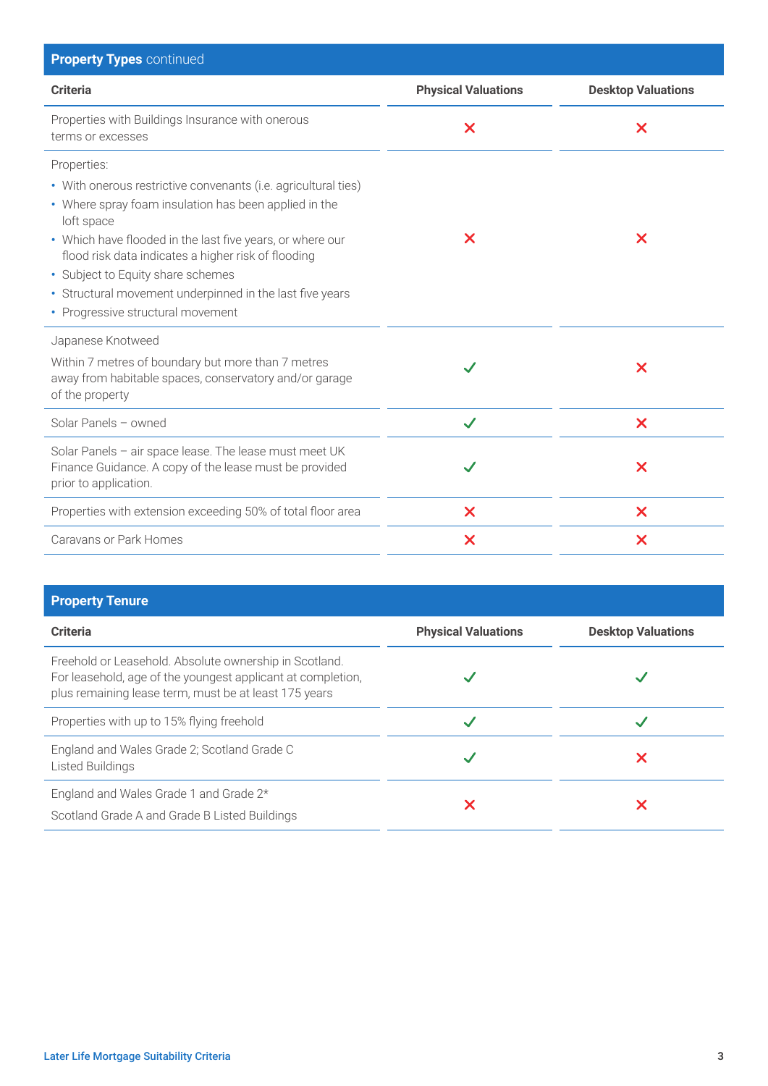| <b>Physical Valuations</b> | <b>Desktop Valuations</b> |
|----------------------------|---------------------------|
| $\boldsymbol{\mathsf{x}}$  | $\boldsymbol{\mathsf{x}}$ |
|                            |                           |
| X                          | X                         |
|                            |                           |
|                            | $\boldsymbol{\mathsf{x}}$ |
| $\checkmark$               | $\boldsymbol{\mathsf{x}}$ |
|                            | $\boldsymbol{\mathsf{x}}$ |
| $\boldsymbol{\mathsf{x}}$  | $\boldsymbol{\mathsf{x}}$ |
| X                          | X                         |
|                            |                           |

| <b>Property Tenure</b>                                                                                                                                                         |                            |                           |
|--------------------------------------------------------------------------------------------------------------------------------------------------------------------------------|----------------------------|---------------------------|
| <b>Criteria</b>                                                                                                                                                                | <b>Physical Valuations</b> | <b>Desktop Valuations</b> |
| Freehold or Leasehold. Absolute ownership in Scotland.<br>For leasehold, age of the youngest applicant at completion,<br>plus remaining lease term, must be at least 175 years |                            |                           |
| Properties with up to 15% flying freehold                                                                                                                                      |                            |                           |
| England and Wales Grade 2; Scotland Grade C<br>Listed Buildings                                                                                                                |                            |                           |
| England and Wales Grade 1 and Grade 2*<br>Scotland Grade A and Grade B Listed Buildings                                                                                        | Х                          |                           |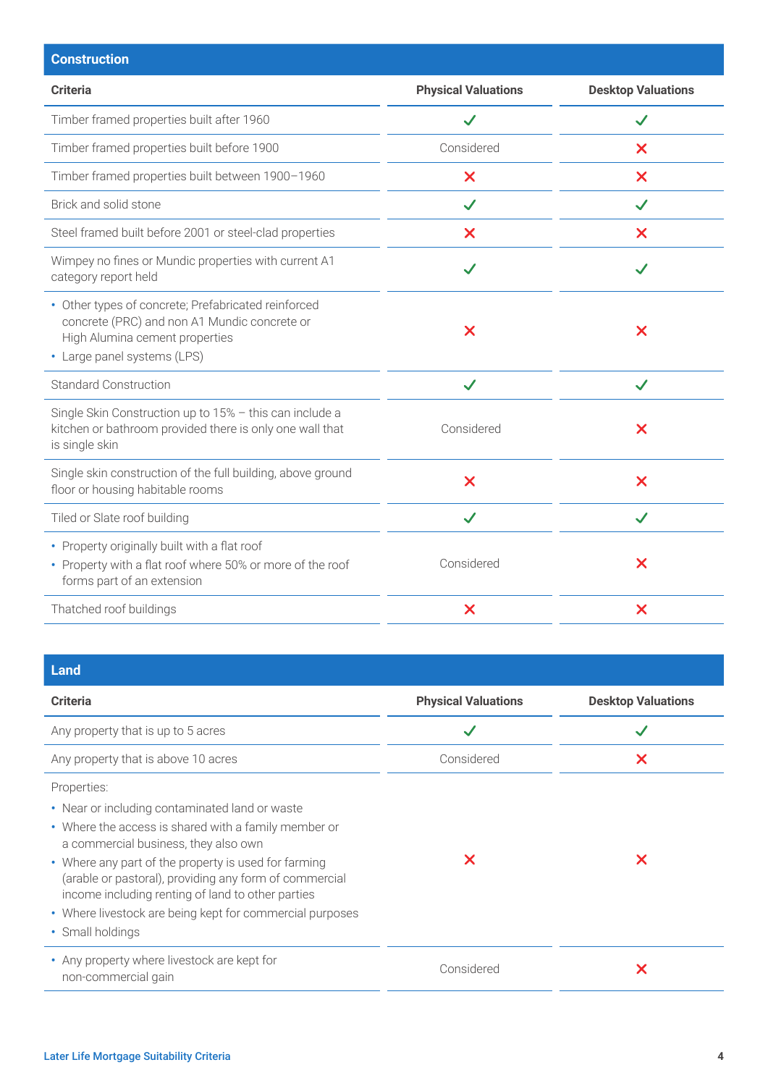| <b>Construction</b>                                                                                                                                                  |                            |                           |
|----------------------------------------------------------------------------------------------------------------------------------------------------------------------|----------------------------|---------------------------|
| <b>Criteria</b>                                                                                                                                                      | <b>Physical Valuations</b> | <b>Desktop Valuations</b> |
| Timber framed properties built after 1960                                                                                                                            | $\checkmark$               | $\checkmark$              |
| Timber framed properties built before 1900                                                                                                                           | Considered                 | X                         |
| Timber framed properties built between 1900-1960                                                                                                                     | $\boldsymbol{\mathsf{x}}$  | $\boldsymbol{\mathsf{X}}$ |
| Brick and solid stone                                                                                                                                                | $\checkmark$               | $\checkmark$              |
| Steel framed built before 2001 or steel-clad properties                                                                                                              | $\boldsymbol{\mathsf{X}}$  | $\boldsymbol{\mathsf{x}}$ |
| Wimpey no fines or Mundic properties with current A1<br>category report held                                                                                         | $\checkmark$               | $\checkmark$              |
| • Other types of concrete; Prefabricated reinforced<br>concrete (PRC) and non A1 Mundic concrete or<br>High Alumina cement properties<br>• Large panel systems (LPS) | $\boldsymbol{\mathsf{x}}$  | $\boldsymbol{\mathsf{x}}$ |
| <b>Standard Construction</b>                                                                                                                                         | $\checkmark$               | $\checkmark$              |
| Single Skin Construction up to 15% - this can include a<br>kitchen or bathroom provided there is only one wall that<br>is single skin                                | Considered                 | $\boldsymbol{\mathsf{x}}$ |
| Single skin construction of the full building, above ground<br>floor or housing habitable rooms                                                                      | $\overline{\mathsf{x}}$    | $\overline{\mathsf{x}}$   |
| Tiled or Slate roof building                                                                                                                                         | $\checkmark$               | $\checkmark$              |
| • Property originally built with a flat roof<br>• Property with a flat roof where 50% or more of the roof<br>forms part of an extension                              | Considered                 | $\boldsymbol{\mathsf{x}}$ |
| Thatched roof buildings                                                                                                                                              | $\boldsymbol{\mathsf{X}}$  | $\boldsymbol{\mathsf{x}}$ |
|                                                                                                                                                                      |                            |                           |

| <b>Physical Valuations</b> | <b>Desktop Valuations</b> |
|----------------------------|---------------------------|
| $\checkmark$               |                           |
| Considered                 | $\overline{\mathsf{x}}$   |
| X                          | X                         |
| Considered                 | X                         |
|                            |                           |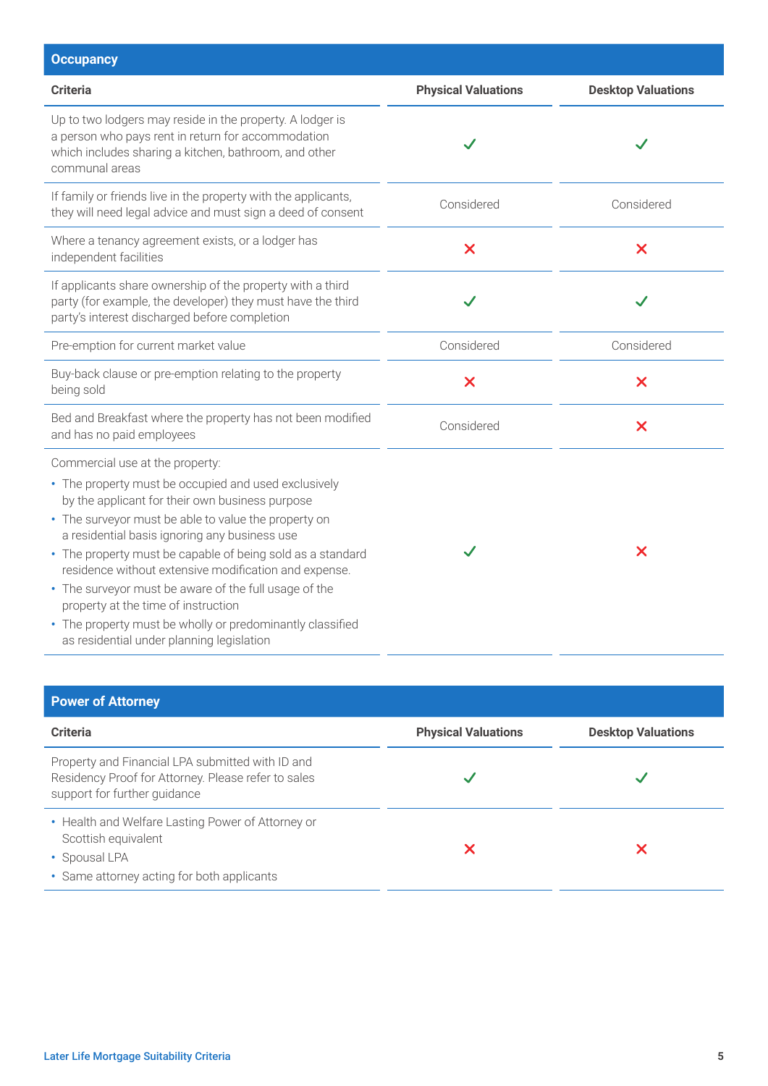| <b>Occupancy</b>                                                                                                                                                                                                                                                                                                                                                                                                                                                                                                                                                                     |                            |                           |
|--------------------------------------------------------------------------------------------------------------------------------------------------------------------------------------------------------------------------------------------------------------------------------------------------------------------------------------------------------------------------------------------------------------------------------------------------------------------------------------------------------------------------------------------------------------------------------------|----------------------------|---------------------------|
| <b>Criteria</b>                                                                                                                                                                                                                                                                                                                                                                                                                                                                                                                                                                      | <b>Physical Valuations</b> | <b>Desktop Valuations</b> |
| Up to two lodgers may reside in the property. A lodger is<br>a person who pays rent in return for accommodation<br>which includes sharing a kitchen, bathroom, and other<br>communal areas                                                                                                                                                                                                                                                                                                                                                                                           |                            |                           |
| If family or friends live in the property with the applicants,<br>they will need legal advice and must sign a deed of consent                                                                                                                                                                                                                                                                                                                                                                                                                                                        | Considered                 | Considered                |
| Where a tenancy agreement exists, or a lodger has<br>independent facilities                                                                                                                                                                                                                                                                                                                                                                                                                                                                                                          | $\bm{\times}$              | $\boldsymbol{\mathsf{x}}$ |
| If applicants share ownership of the property with a third<br>party (for example, the developer) they must have the third<br>party's interest discharged before completion                                                                                                                                                                                                                                                                                                                                                                                                           |                            |                           |
| Pre-emption for current market value                                                                                                                                                                                                                                                                                                                                                                                                                                                                                                                                                 | Considered                 | Considered                |
| Buy-back clause or pre-emption relating to the property<br>being sold                                                                                                                                                                                                                                                                                                                                                                                                                                                                                                                | $\bm{\times}$              | $\boldsymbol{\mathsf{x}}$ |
| Bed and Breakfast where the property has not been modified<br>and has no paid employees                                                                                                                                                                                                                                                                                                                                                                                                                                                                                              | Considered                 | $\boldsymbol{\mathsf{x}}$ |
| Commercial use at the property:<br>• The property must be occupied and used exclusively<br>by the applicant for their own business purpose<br>• The surveyor must be able to value the property on<br>a residential basis ignoring any business use<br>• The property must be capable of being sold as a standard<br>residence without extensive modification and expense.<br>• The surveyor must be aware of the full usage of the<br>property at the time of instruction<br>• The property must be wholly or predominantly classified<br>as residential under planning legislation |                            | $\boldsymbol{\mathsf{x}}$ |

| <b>Power of Attorney</b>                                                                                                                |                            |                           |
|-----------------------------------------------------------------------------------------------------------------------------------------|----------------------------|---------------------------|
| <b>Criteria</b>                                                                                                                         | <b>Physical Valuations</b> | <b>Desktop Valuations</b> |
| Property and Financial LPA submitted with ID and<br>Residency Proof for Attorney. Please refer to sales<br>support for further guidance |                            |                           |
| • Health and Welfare Lasting Power of Attorney or<br>Scottish equivalent<br>• Spousal LPA<br>• Same attorney acting for both applicants |                            |                           |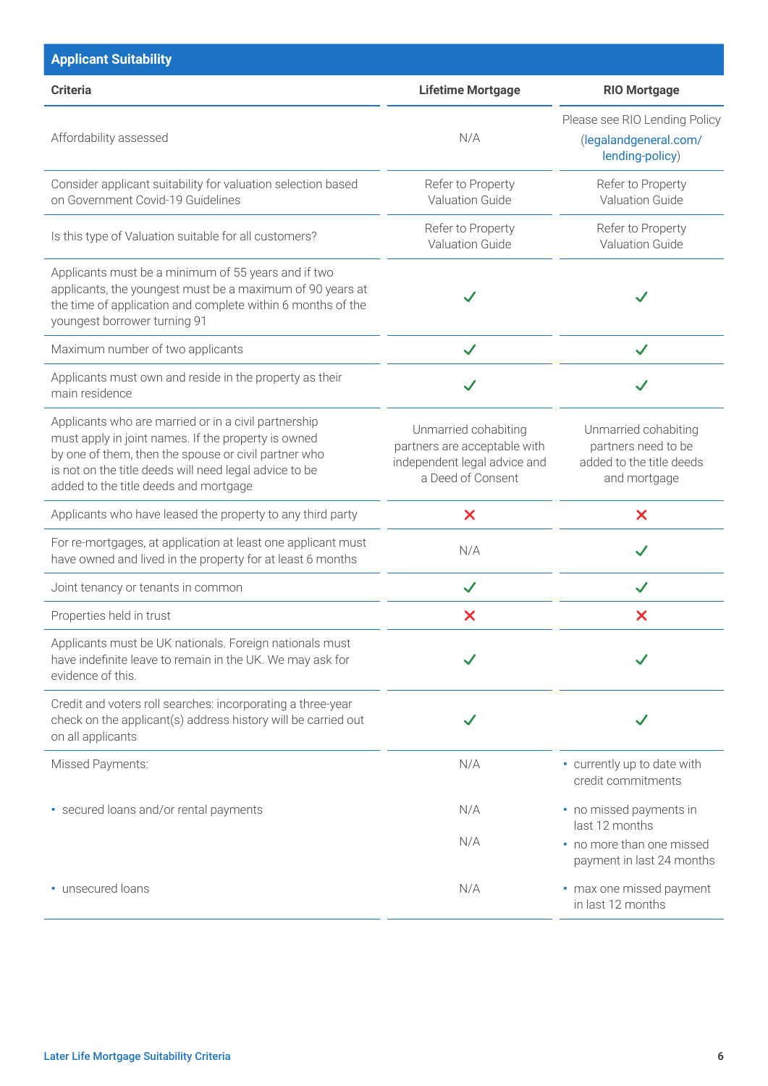| <b>Applicant Suitability</b>                                                                                                                                                                                                                                           |                                                                                                           |                                                                                         |
|------------------------------------------------------------------------------------------------------------------------------------------------------------------------------------------------------------------------------------------------------------------------|-----------------------------------------------------------------------------------------------------------|-----------------------------------------------------------------------------------------|
| <b>Criteria</b>                                                                                                                                                                                                                                                        | <b>Lifetime Mortgage</b>                                                                                  | <b>RIO Mortgage</b>                                                                     |
| Affordability assessed                                                                                                                                                                                                                                                 | N/A                                                                                                       | Please see RIO Lending Policy<br>(legalandgeneral.com/<br>lending-policy)               |
| Consider applicant suitability for valuation selection based<br>on Government Covid-19 Guidelines                                                                                                                                                                      | Refer to Property<br>Valuation Guide                                                                      | Refer to Property<br><b>Valuation Guide</b>                                             |
| Is this type of Valuation suitable for all customers?                                                                                                                                                                                                                  | Refer to Property<br>Valuation Guide                                                                      | Refer to Property<br>Valuation Guide                                                    |
| Applicants must be a minimum of 55 years and if two<br>applicants, the youngest must be a maximum of 90 years at<br>the time of application and complete within 6 months of the<br>youngest borrower turning 91                                                        |                                                                                                           |                                                                                         |
| Maximum number of two applicants                                                                                                                                                                                                                                       | $\checkmark$                                                                                              | $\checkmark$                                                                            |
| Applicants must own and reside in the property as their<br>main residence                                                                                                                                                                                              |                                                                                                           |                                                                                         |
| Applicants who are married or in a civil partnership<br>must apply in joint names. If the property is owned<br>by one of them, then the spouse or civil partner who<br>is not on the title deeds will need legal advice to be<br>added to the title deeds and mortgage | Unmarried cohabiting<br>partners are acceptable with<br>independent legal advice and<br>a Deed of Consent | Unmarried cohabiting<br>partners need to be<br>added to the title deeds<br>and mortgage |
| Applicants who have leased the property to any third party                                                                                                                                                                                                             | X                                                                                                         | $\boldsymbol{\mathsf{x}}$                                                               |
| For re-mortgages, at application at least one applicant must<br>have owned and lived in the property for at least 6 months                                                                                                                                             | N/A                                                                                                       | $\checkmark$                                                                            |
| Joint tenancy or tenants in common                                                                                                                                                                                                                                     | $\checkmark$                                                                                              |                                                                                         |
| Properties held in trust                                                                                                                                                                                                                                               | $\boldsymbol{\mathsf{x}}$                                                                                 | X                                                                                       |
| Applicants must be UK nationals. Foreign nationals must<br>have indefinite leave to remain in the UK. We may ask for<br>evidence of this.                                                                                                                              |                                                                                                           |                                                                                         |
| Credit and voters roll searches: incorporating a three-year<br>check on the applicant(s) address history will be carried out<br>on all applicants                                                                                                                      |                                                                                                           |                                                                                         |
| Missed Payments:                                                                                                                                                                                                                                                       | N/A                                                                                                       | • currently up to date with<br>credit commitments                                       |
| • secured loans and/or rental payments                                                                                                                                                                                                                                 | N/A                                                                                                       | • no missed payments in<br>last 12 months                                               |
|                                                                                                                                                                                                                                                                        | N/A                                                                                                       | • no more than one missed<br>payment in last 24 months                                  |
| • unsecured loans                                                                                                                                                                                                                                                      | N/A                                                                                                       | • max one missed payment<br>in last 12 months                                           |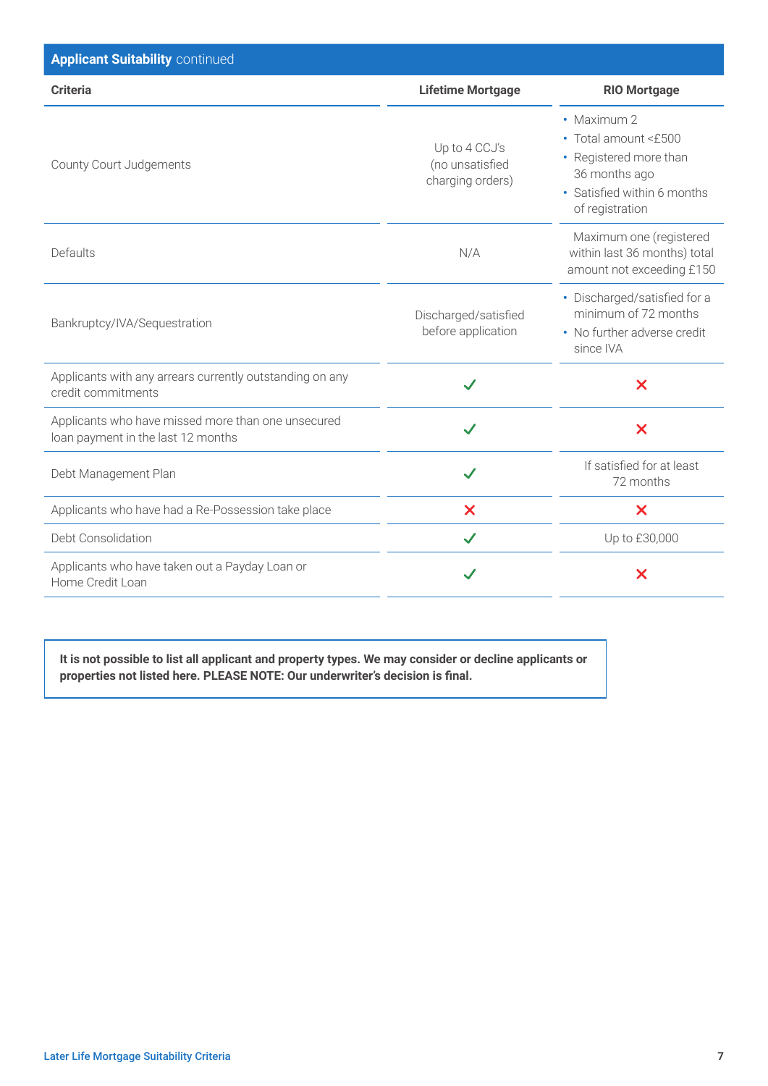| <b>Applicant Suitability continued</b>                                                   |                                                      |                                                                                                                                  |
|------------------------------------------------------------------------------------------|------------------------------------------------------|----------------------------------------------------------------------------------------------------------------------------------|
| <b>Criteria</b>                                                                          | <b>Lifetime Mortgage</b>                             | <b>RIO Mortgage</b>                                                                                                              |
| County Court Judgements                                                                  | Up to 4 CCJ's<br>(no unsatisfied<br>charging orders) | • Maximum 2<br>• Total amount <£500<br>• Registered more than<br>36 months ago<br>• Satisfied within 6 months<br>of registration |
| Defaults                                                                                 | N/A                                                  | Maximum one (registered<br>within last 36 months) total<br>amount not exceeding £150                                             |
| Bankruptcy/IVA/Sequestration                                                             | Discharged/satisfied<br>before application           | • Discharged/satisfied for a<br>minimum of 72 months<br>• No further adverse credit<br>since IVA                                 |
| Applicants with any arrears currently outstanding on any<br>credit commitments           | $\checkmark$                                         | $\overline{\mathsf{x}}$                                                                                                          |
| Applicants who have missed more than one unsecured<br>loan payment in the last 12 months | $\checkmark$                                         | $\overline{\mathsf{x}}$                                                                                                          |
| Debt Management Plan                                                                     | $\checkmark$                                         | If satisfied for at least<br>72 months                                                                                           |
| Applicants who have had a Re-Possession take place                                       | $\boldsymbol{\mathsf{x}}$                            | X                                                                                                                                |
| Debt Consolidation                                                                       | $\checkmark$                                         | Up to £30,000                                                                                                                    |
| Applicants who have taken out a Payday Loan or<br>Home Credit Loan                       |                                                      | $\bm{\times}$                                                                                                                    |

**It is not possible to list all applicant and property types. We may consider or decline applicants or properties not listed here. PLEASE NOTE: Our underwriter's decision is final.**